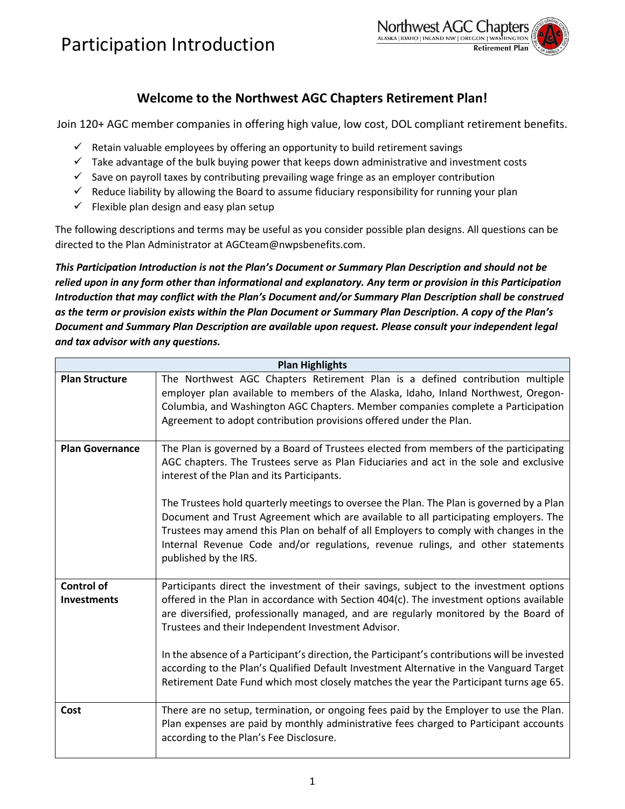

### **Welcome to the Northwest AGC Chapters Retirement Plan!**

Join 120+ AGC member companies in offering high value, low cost, DOL compliant retirement benefits.

- $\checkmark$  Retain valuable employees by offering an opportunity to build retirement savings
- $\checkmark$  Take advantage of the bulk buying power that keeps down administrative and investment costs
- $\checkmark$  Save on payroll taxes by contributing prevailing wage fringe as an employer contribution
- $\checkmark$  Reduce liability by allowing the Board to assume fiduciary responsibility for running your plan
- $\checkmark$  Flexible plan design and easy plan setup

The following descriptions and terms may be useful as you consider possible plan designs. All questions can be directed to the Plan Administrator at AGCteam@nwpsbenefits.com.

*This Participation Introduction is not the Plan's Document or Summary Plan Description and should not be relied upon in any form other than informational and explanatory. Any term or provision in this Participation Introduction that may conflict with the Plan's Document and/or Summary Plan Description shall be construed as the term or provision exists within the Plan Document or Summary Plan Description. A copy of the Plan's Document and Summary Plan Description are available upon request. Please consult your independent legal and tax advisor with any questions.* 

| <b>Plan Highlights</b>                  |                                                                                                                                                                                                                                                                                                                                                                                                                                                                                                                                                                                                                        |  |  |
|-----------------------------------------|------------------------------------------------------------------------------------------------------------------------------------------------------------------------------------------------------------------------------------------------------------------------------------------------------------------------------------------------------------------------------------------------------------------------------------------------------------------------------------------------------------------------------------------------------------------------------------------------------------------------|--|--|
| <b>Plan Structure</b>                   | The Northwest AGC Chapters Retirement Plan is a defined contribution multiple<br>employer plan available to members of the Alaska, Idaho, Inland Northwest, Oregon-<br>Columbia, and Washington AGC Chapters. Member companies complete a Participation<br>Agreement to adopt contribution provisions offered under the Plan.                                                                                                                                                                                                                                                                                          |  |  |
| <b>Plan Governance</b>                  | The Plan is governed by a Board of Trustees elected from members of the participating<br>AGC chapters. The Trustees serve as Plan Fiduciaries and act in the sole and exclusive<br>interest of the Plan and its Participants.<br>The Trustees hold quarterly meetings to oversee the Plan. The Plan is governed by a Plan<br>Document and Trust Agreement which are available to all participating employers. The<br>Trustees may amend this Plan on behalf of all Employers to comply with changes in the<br>Internal Revenue Code and/or regulations, revenue rulings, and other statements<br>published by the IRS. |  |  |
| <b>Control of</b><br><b>Investments</b> | Participants direct the investment of their savings, subject to the investment options<br>offered in the Plan in accordance with Section 404(c). The investment options available<br>are diversified, professionally managed, and are regularly monitored by the Board of<br>Trustees and their Independent Investment Advisor.<br>In the absence of a Participant's direction, the Participant's contributions will be invested<br>according to the Plan's Qualified Default Investment Alternative in the Vanguard Target<br>Retirement Date Fund which most closely matches the year the Participant turns age 65.  |  |  |
| Cost                                    | There are no setup, termination, or ongoing fees paid by the Employer to use the Plan.<br>Plan expenses are paid by monthly administrative fees charged to Participant accounts<br>according to the Plan's Fee Disclosure.                                                                                                                                                                                                                                                                                                                                                                                             |  |  |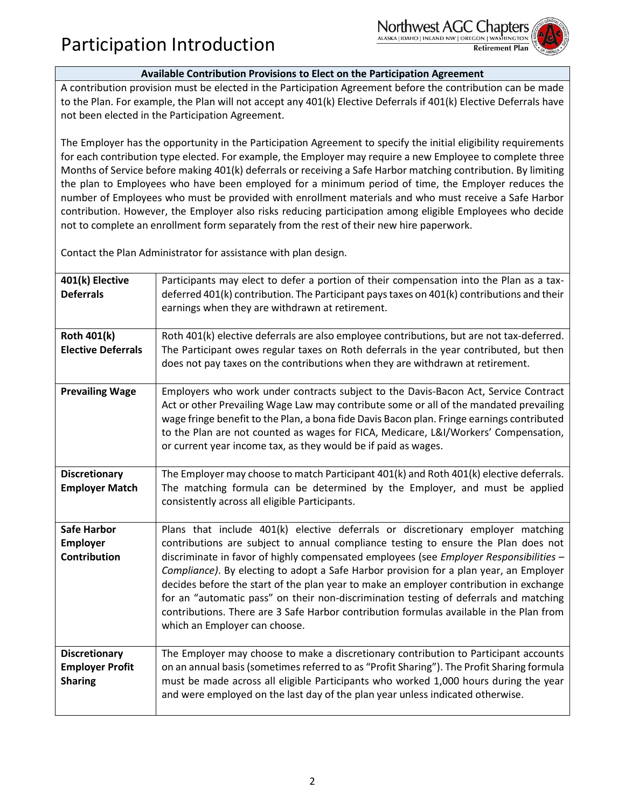

#### **Available Contribution Provisions to Elect on the Participation Agreement**

A contribution provision must be elected in the Participation Agreement before the contribution can be made to the Plan. For example, the Plan will not accept any 401(k) Elective Deferrals if 401(k) Elective Deferrals have not been elected in the Participation Agreement.

The Employer has the opportunity in the Participation Agreement to specify the initial eligibility requirements for each contribution type elected. For example, the Employer may require a new Employee to complete three Months of Service before making 401(k) deferrals or receiving a Safe Harbor matching contribution. By limiting the plan to Employees who have been employed for a minimum period of time, the Employer reduces the number of Employees who must be provided with enrollment materials and who must receive a Safe Harbor contribution. However, the Employer also risks reducing participation among eligible Employees who decide not to complete an enrollment form separately from the rest of their new hire paperwork.

Contact the Plan Administrator for assistance with plan design.

| 401(k) Elective<br><b>Deferrals</b>                              | Participants may elect to defer a portion of their compensation into the Plan as a tax-<br>deferred 401(k) contribution. The Participant pays taxes on 401(k) contributions and their<br>earnings when they are withdrawn at retirement.                                                                                                                                                                                                                                                                                                                                                                                                                                 |
|------------------------------------------------------------------|--------------------------------------------------------------------------------------------------------------------------------------------------------------------------------------------------------------------------------------------------------------------------------------------------------------------------------------------------------------------------------------------------------------------------------------------------------------------------------------------------------------------------------------------------------------------------------------------------------------------------------------------------------------------------|
| Roth 401(k)<br><b>Elective Deferrals</b>                         | Roth 401(k) elective deferrals are also employee contributions, but are not tax-deferred.<br>The Participant owes regular taxes on Roth deferrals in the year contributed, but then<br>does not pay taxes on the contributions when they are withdrawn at retirement.                                                                                                                                                                                                                                                                                                                                                                                                    |
| <b>Prevailing Wage</b>                                           | Employers who work under contracts subject to the Davis-Bacon Act, Service Contract<br>Act or other Prevailing Wage Law may contribute some or all of the mandated prevailing<br>wage fringe benefit to the Plan, a bona fide Davis Bacon plan. Fringe earnings contributed<br>to the Plan are not counted as wages for FICA, Medicare, L&I/Workers' Compensation,<br>or current year income tax, as they would be if paid as wages.                                                                                                                                                                                                                                     |
| <b>Discretionary</b><br><b>Employer Match</b>                    | The Employer may choose to match Participant 401(k) and Roth 401(k) elective deferrals.<br>The matching formula can be determined by the Employer, and must be applied<br>consistently across all eligible Participants.                                                                                                                                                                                                                                                                                                                                                                                                                                                 |
| <b>Safe Harbor</b><br><b>Employer</b><br><b>Contribution</b>     | Plans that include 401(k) elective deferrals or discretionary employer matching<br>contributions are subject to annual compliance testing to ensure the Plan does not<br>discriminate in favor of highly compensated employees (see Employer Responsibilities -<br>Compliance). By electing to adopt a Safe Harbor provision for a plan year, an Employer<br>decides before the start of the plan year to make an employer contribution in exchange<br>for an "automatic pass" on their non-discrimination testing of deferrals and matching<br>contributions. There are 3 Safe Harbor contribution formulas available in the Plan from<br>which an Employer can choose. |
| <b>Discretionary</b><br><b>Employer Profit</b><br><b>Sharing</b> | The Employer may choose to make a discretionary contribution to Participant accounts<br>on an annual basis (sometimes referred to as "Profit Sharing"). The Profit Sharing formula<br>must be made across all eligible Participants who worked 1,000 hours during the year<br>and were employed on the last day of the plan year unless indicated otherwise.                                                                                                                                                                                                                                                                                                             |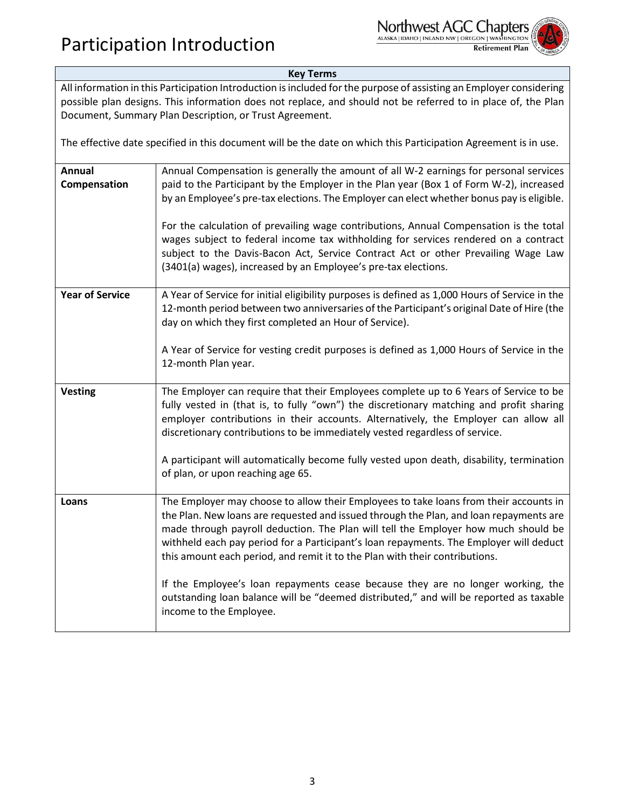

#### **Key Terms**

All information in this Participation Introduction is included for the purpose of assisting an Employer considering possible plan designs. This information does not replace, and should not be referred to in place of, the Plan Document, Summary Plan Description, or Trust Agreement.

The effective date specified in this document will be the date on which this Participation Agreement is in use.

| Annual Compensation is generally the amount of all W-2 earnings for personal services<br>paid to the Participant by the Employer in the Plan year (Box 1 of Form W-2), increased<br>by an Employee's pre-tax elections. The Employer can elect whether bonus pay is eligible.<br>For the calculation of prevailing wage contributions, Annual Compensation is the total<br>wages subject to federal income tax withholding for services rendered on a contract<br>subject to the Davis-Bacon Act, Service Contract Act or other Prevailing Wage Law<br>(3401(a) wages), increased by an Employee's pre-tax elections.                                  |
|--------------------------------------------------------------------------------------------------------------------------------------------------------------------------------------------------------------------------------------------------------------------------------------------------------------------------------------------------------------------------------------------------------------------------------------------------------------------------------------------------------------------------------------------------------------------------------------------------------------------------------------------------------|
| A Year of Service for initial eligibility purposes is defined as 1,000 Hours of Service in the<br>12-month period between two anniversaries of the Participant's original Date of Hire (the<br>day on which they first completed an Hour of Service).<br>A Year of Service for vesting credit purposes is defined as 1,000 Hours of Service in the<br>12-month Plan year.                                                                                                                                                                                                                                                                              |
| The Employer can require that their Employees complete up to 6 Years of Service to be<br>fully vested in (that is, to fully "own") the discretionary matching and profit sharing<br>employer contributions in their accounts. Alternatively, the Employer can allow all<br>discretionary contributions to be immediately vested regardless of service.<br>A participant will automatically become fully vested upon death, disability, termination<br>of plan, or upon reaching age 65.                                                                                                                                                                |
| The Employer may choose to allow their Employees to take loans from their accounts in<br>the Plan. New loans are requested and issued through the Plan, and loan repayments are<br>made through payroll deduction. The Plan will tell the Employer how much should be<br>withheld each pay period for a Participant's loan repayments. The Employer will deduct<br>this amount each period, and remit it to the Plan with their contributions.<br>If the Employee's loan repayments cease because they are no longer working, the<br>outstanding loan balance will be "deemed distributed," and will be reported as taxable<br>income to the Employee. |
|                                                                                                                                                                                                                                                                                                                                                                                                                                                                                                                                                                                                                                                        |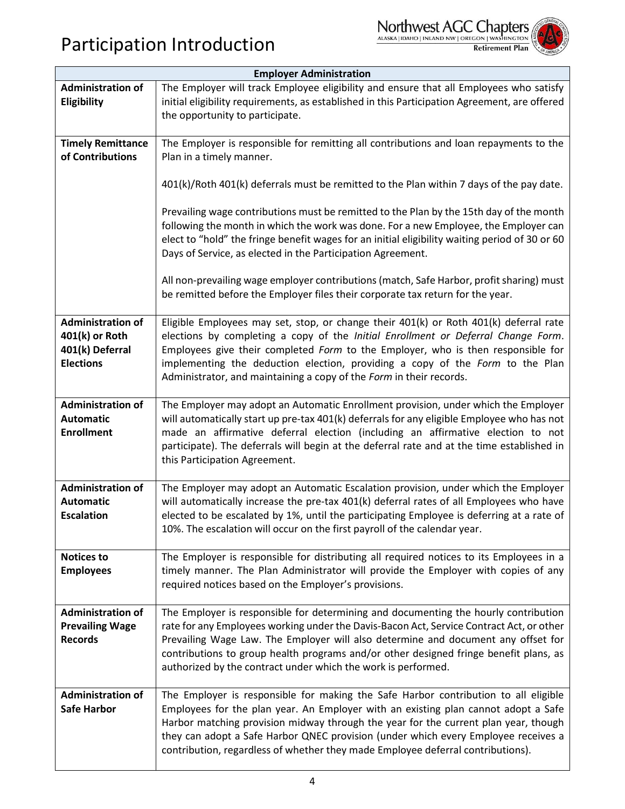

|  |   | ۰ |
|--|---|---|
|  | ÷ |   |

| <b>Employer Administration</b>                                                    |                                                                                                                                                                                                                                                                                                                                                                                                                                           |  |  |
|-----------------------------------------------------------------------------------|-------------------------------------------------------------------------------------------------------------------------------------------------------------------------------------------------------------------------------------------------------------------------------------------------------------------------------------------------------------------------------------------------------------------------------------------|--|--|
| <b>Administration of</b><br>Eligibility                                           | The Employer will track Employee eligibility and ensure that all Employees who satisfy<br>initial eligibility requirements, as established in this Participation Agreement, are offered<br>the opportunity to participate.                                                                                                                                                                                                                |  |  |
| <b>Timely Remittance</b><br>of Contributions                                      | The Employer is responsible for remitting all contributions and loan repayments to the<br>Plan in a timely manner.                                                                                                                                                                                                                                                                                                                        |  |  |
|                                                                                   | 401(k)/Roth 401(k) deferrals must be remitted to the Plan within 7 days of the pay date.                                                                                                                                                                                                                                                                                                                                                  |  |  |
|                                                                                   | Prevailing wage contributions must be remitted to the Plan by the 15th day of the month<br>following the month in which the work was done. For a new Employee, the Employer can<br>elect to "hold" the fringe benefit wages for an initial eligibility waiting period of 30 or 60<br>Days of Service, as elected in the Participation Agreement.                                                                                          |  |  |
|                                                                                   | All non-prevailing wage employer contributions (match, Safe Harbor, profit sharing) must<br>be remitted before the Employer files their corporate tax return for the year.                                                                                                                                                                                                                                                                |  |  |
| <b>Administration of</b><br>401(k) or Roth<br>401(k) Deferral<br><b>Elections</b> | Eligible Employees may set, stop, or change their 401(k) or Roth 401(k) deferral rate<br>elections by completing a copy of the Initial Enrollment or Deferral Change Form.<br>Employees give their completed Form to the Employer, who is then responsible for<br>implementing the deduction election, providing a copy of the Form to the Plan<br>Administrator, and maintaining a copy of the Form in their records.                    |  |  |
| <b>Administration of</b><br><b>Automatic</b><br><b>Enrollment</b>                 | The Employer may adopt an Automatic Enrollment provision, under which the Employer<br>will automatically start up pre-tax 401(k) deferrals for any eligible Employee who has not<br>made an affirmative deferral election (including an affirmative election to not<br>participate). The deferrals will begin at the deferral rate and at the time established in<br>this Participation Agreement.                                        |  |  |
| <b>Administration of</b><br><b>Automatic</b><br><b>Escalation</b>                 | The Employer may adopt an Automatic Escalation provision, under which the Employer<br>will automatically increase the pre-tax 401(k) deferral rates of all Employees who have<br>elected to be escalated by 1%, until the participating Employee is deferring at a rate of<br>10%. The escalation will occur on the first payroll of the calendar year.                                                                                   |  |  |
| <b>Notices to</b><br><b>Employees</b>                                             | The Employer is responsible for distributing all required notices to its Employees in a<br>timely manner. The Plan Administrator will provide the Employer with copies of any<br>required notices based on the Employer's provisions.                                                                                                                                                                                                     |  |  |
| <b>Administration of</b><br><b>Prevailing Wage</b><br><b>Records</b>              | The Employer is responsible for determining and documenting the hourly contribution<br>rate for any Employees working under the Davis-Bacon Act, Service Contract Act, or other<br>Prevailing Wage Law. The Employer will also determine and document any offset for<br>contributions to group health programs and/or other designed fringe benefit plans, as<br>authorized by the contract under which the work is performed.            |  |  |
| <b>Administration of</b><br><b>Safe Harbor</b>                                    | The Employer is responsible for making the Safe Harbor contribution to all eligible<br>Employees for the plan year. An Employer with an existing plan cannot adopt a Safe<br>Harbor matching provision midway through the year for the current plan year, though<br>they can adopt a Safe Harbor QNEC provision (under which every Employee receives a<br>contribution, regardless of whether they made Employee deferral contributions). |  |  |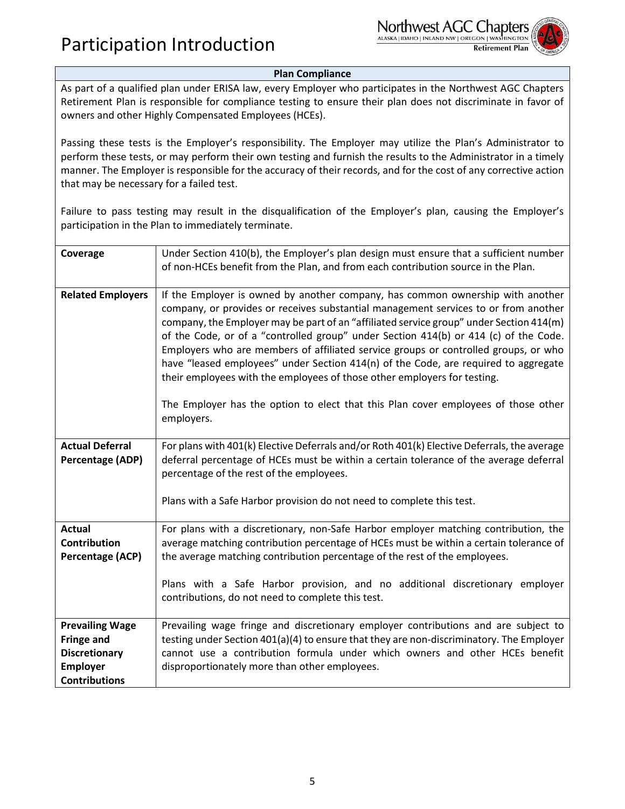

#### **Plan Compliance**

As part of a qualified plan under ERISA law, every Employer who participates in the Northwest AGC Chapters Retirement Plan is responsible for compliance testing to ensure their plan does not discriminate in favor of owners and other Highly Compensated Employees (HCEs).

Passing these tests is the Employer's responsibility. The Employer may utilize the Plan's Administrator to perform these tests, or may perform their own testing and furnish the results to the Administrator in a timely manner. The Employer is responsible for the accuracy of their records, and for the cost of any corrective action that may be necessary for a failed test.

Failure to pass testing may result in the disqualification of the Employer's plan, causing the Employer's participation in the Plan to immediately terminate.

| Coverage                                                                                                       | Under Section 410(b), the Employer's plan design must ensure that a sufficient number<br>of non-HCEs benefit from the Plan, and from each contribution source in the Plan.                                                                                                                                                                                                                                                                                                                                                                                                                                                                                                                                             |  |
|----------------------------------------------------------------------------------------------------------------|------------------------------------------------------------------------------------------------------------------------------------------------------------------------------------------------------------------------------------------------------------------------------------------------------------------------------------------------------------------------------------------------------------------------------------------------------------------------------------------------------------------------------------------------------------------------------------------------------------------------------------------------------------------------------------------------------------------------|--|
| <b>Related Employers</b>                                                                                       | If the Employer is owned by another company, has common ownership with another<br>company, or provides or receives substantial management services to or from another<br>company, the Employer may be part of an "affiliated service group" under Section 414(m)<br>of the Code, or of a "controlled group" under Section 414(b) or 414 (c) of the Code.<br>Employers who are members of affiliated service groups or controlled groups, or who<br>have "leased employees" under Section 414(n) of the Code, are required to aggregate<br>their employees with the employees of those other employers for testing.<br>The Employer has the option to elect that this Plan cover employees of those other<br>employers. |  |
| <b>Actual Deferral</b><br>Percentage (ADP)                                                                     | For plans with 401(k) Elective Deferrals and/or Roth 401(k) Elective Deferrals, the average<br>deferral percentage of HCEs must be within a certain tolerance of the average deferral<br>percentage of the rest of the employees.<br>Plans with a Safe Harbor provision do not need to complete this test.                                                                                                                                                                                                                                                                                                                                                                                                             |  |
| <b>Actual</b><br>Contribution<br>Percentage (ACP)                                                              | For plans with a discretionary, non-Safe Harbor employer matching contribution, the<br>average matching contribution percentage of HCEs must be within a certain tolerance of<br>the average matching contribution percentage of the rest of the employees.<br>Plans with a Safe Harbor provision, and no additional discretionary employer<br>contributions, do not need to complete this test.                                                                                                                                                                                                                                                                                                                       |  |
| <b>Prevailing Wage</b><br><b>Fringe and</b><br><b>Discretionary</b><br><b>Employer</b><br><b>Contributions</b> | Prevailing wage fringe and discretionary employer contributions and are subject to<br>testing under Section 401(a)(4) to ensure that they are non-discriminatory. The Employer<br>cannot use a contribution formula under which owners and other HCEs benefit<br>disproportionately more than other employees.                                                                                                                                                                                                                                                                                                                                                                                                         |  |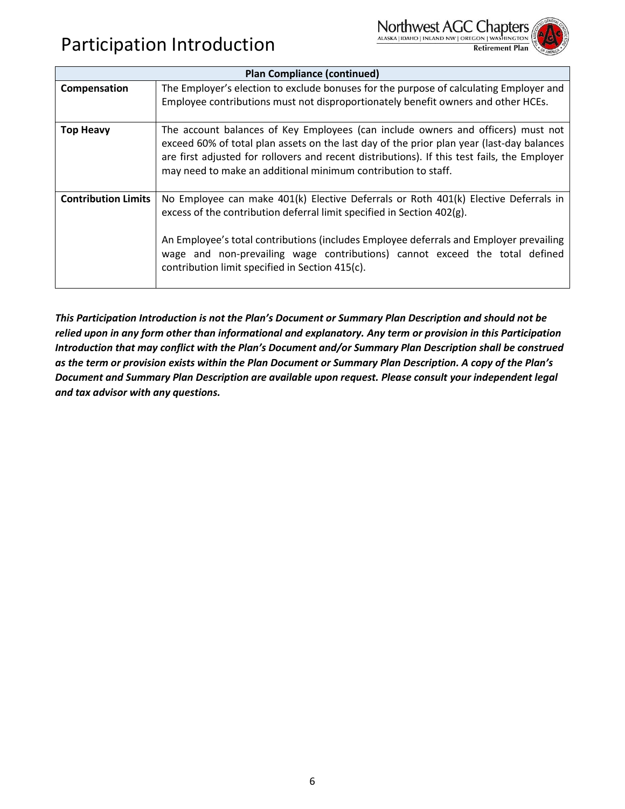



| <b>Plan Compliance (continued)</b> |                                                                                                                                                                                                                                                                                                                                                                                           |  |
|------------------------------------|-------------------------------------------------------------------------------------------------------------------------------------------------------------------------------------------------------------------------------------------------------------------------------------------------------------------------------------------------------------------------------------------|--|
| Compensation                       | The Employer's election to exclude bonuses for the purpose of calculating Employer and<br>Employee contributions must not disproportionately benefit owners and other HCEs.                                                                                                                                                                                                               |  |
| <b>Top Heavy</b>                   | The account balances of Key Employees (can include owners and officers) must not<br>exceed 60% of total plan assets on the last day of the prior plan year (last-day balances<br>are first adjusted for rollovers and recent distributions). If this test fails, the Employer<br>may need to make an additional minimum contribution to staff.                                            |  |
| <b>Contribution Limits</b>         | No Employee can make 401(k) Elective Deferrals or Roth 401(k) Elective Deferrals in<br>excess of the contribution deferral limit specified in Section 402(g).<br>An Employee's total contributions (includes Employee deferrals and Employer prevailing<br>wage and non-prevailing wage contributions) cannot exceed the total defined<br>contribution limit specified in Section 415(c). |  |

*This Participation Introduction is not the Plan's Document or Summary Plan Description and should not be*  relied upon in any form other than informational and explanatory. Any term or provision in this Participation *Introduction that may conflict with the Plan's Document and/or Summary Plan Description shall be construed as the term or provision exists within the Plan Document or Summary Plan Description. A copy of the Plan's Document and Summary Plan Description are available upon request. Please consult your independent legal and tax advisor with any questions.*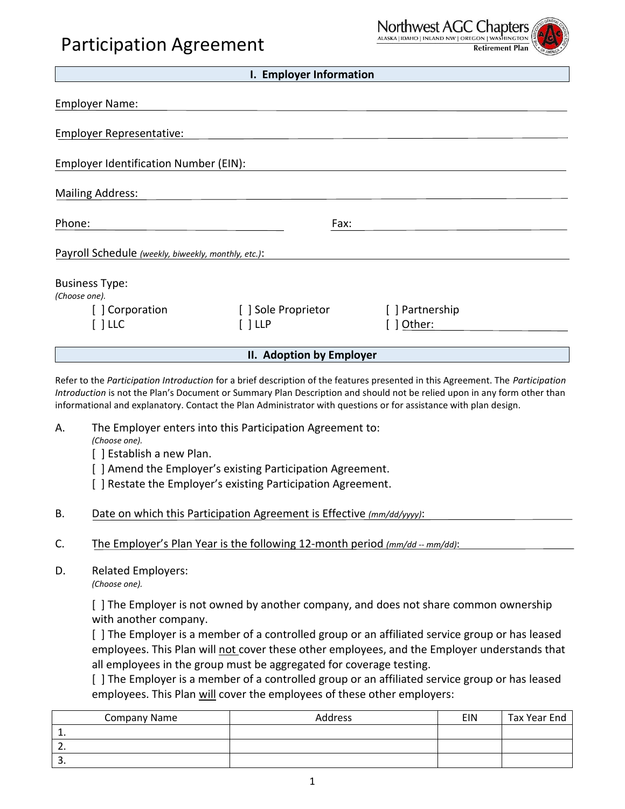## Participation Agreement



| I. Employer Information                             |                     |                 |  |
|-----------------------------------------------------|---------------------|-----------------|--|
| <b>Employer Name:</b>                               |                     |                 |  |
| <b>Employer Representative:</b>                     |                     |                 |  |
| Employer Identification Number (EIN):               |                     |                 |  |
| <b>Mailing Address:</b>                             |                     |                 |  |
| Phone:                                              | Fax:                |                 |  |
| Payroll Schedule (weekly, biweekly, monthly, etc.): |                     |                 |  |
| <b>Business Type:</b><br>(Choose one).              |                     |                 |  |
| [] Corporation                                      | [ ] Sole Proprietor | [ ] Partnership |  |
| l LLC                                               | ີ   LLP             | ] Other:        |  |
|                                                     |                     |                 |  |

#### **II. Adoption by Employer**

Refer to the *Participation Introduction* for a brief description of the features presented in this Agreement. The *Participation Introduction* is not the Plan's Document or Summary Plan Description and should not be relied upon in any form other than informational and explanatory. Contact the Plan Administrator with questions or for assistance with plan design.

- A. The Employer enters into this Participation Agreement to: *(Choose one).*
	- [ ] Establish a new Plan.
	- [ ] Amend the Employer's existing Participation Agreement.
	- [] Restate the Employer's existing Participation Agreement.
- B. Date on which this Participation Agreement is Effective *(mm/dd/yyyy)*:
- C. The Employer's Plan Year is the following 12-month period *(mm/dd -- mm/dd)*:
- D. Related Employers:

*(Choose one).*

[ ] The Employer is not owned by another company, and does not share common ownership with another company.

[ ] The Employer is a member of a controlled group or an affiliated service group or has leased employees. This Plan will not cover these other employees, and the Employer understands that all employees in the group must be aggregated for coverage testing.

[ ] The Employer is a member of a controlled group or an affiliated service group or has leased employees. This Plan will cover the employees of these other employers:

| <b>Company Name</b> | <b>Address</b> | <b>EIN</b> | Tax Year End |
|---------------------|----------------|------------|--------------|
| . .                 |                |            |              |
| <u>.</u>            |                |            |              |
| <u>.</u>            |                |            |              |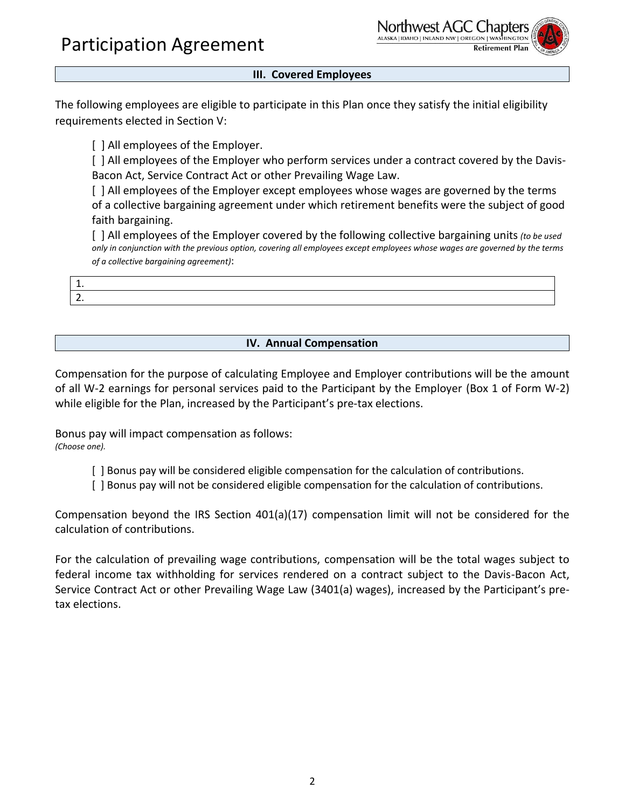Participation Agreement



#### **III. Covered Employees**

The following employees are eligible to participate in this Plan once they satisfy the initial eligibility requirements elected in Section V:

[] All employees of the Employer.

[ ] All employees of the Employer who perform services under a contract covered by the Davis-Bacon Act, Service Contract Act or other Prevailing Wage Law.

[] All employees of the Employer except employees whose wages are governed by the terms of a collective bargaining agreement under which retirement benefits were the subject of good faith bargaining.

[ ] All employees of the Employer covered by the following collective bargaining units *(to be used only in conjunction with the previous option, covering all employees except employees whose wages are governed by the terms of a collective bargaining agreement)*:

| <u>. .</u> |  |
|------------|--|
| <u>.</u>   |  |

#### **IV. Annual Compensation**

Compensation for the purpose of calculating Employee and Employer contributions will be the amount of all W-2 earnings for personal services paid to the Participant by the Employer (Box 1 of Form W-2) while eligible for the Plan, increased by the Participant's pre-tax elections.

Bonus pay will impact compensation as follows: *(Choose one).*

- [ ] Bonus pay will be considered eligible compensation for the calculation of contributions.
- [ ] Bonus pay will not be considered eligible compensation for the calculation of contributions.

Compensation beyond the IRS Section 401(a)(17) compensation limit will not be considered for the calculation of contributions.

For the calculation of prevailing wage contributions, compensation will be the total wages subject to federal income tax withholding for services rendered on a contract subject to the Davis-Bacon Act, Service Contract Act or other Prevailing Wage Law (3401(a) wages), increased by the Participant's pretax elections.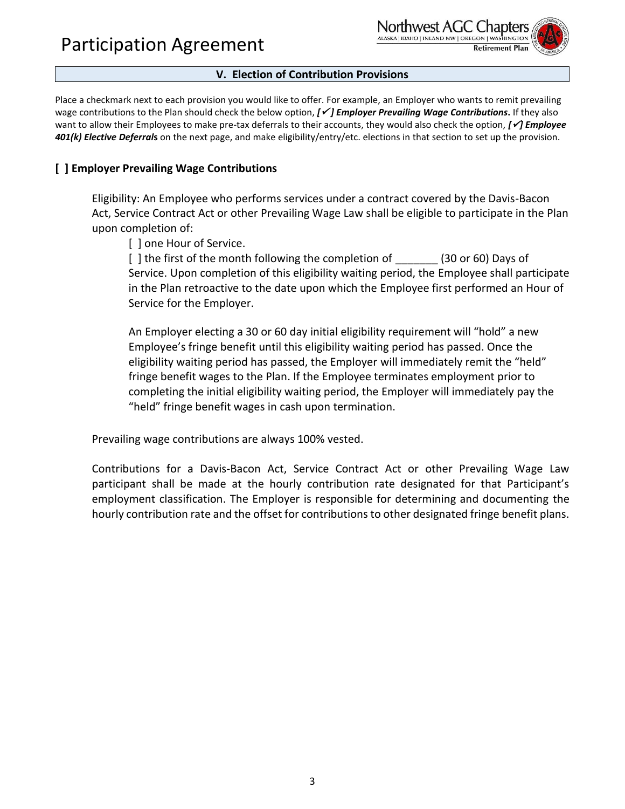Participation Agreement



#### **V. Election of Contribution Provisions**

Place a checkmark next to each provision you would like to offer. For example, an Employer who wants to remit prevailing wage contributions to the Plan should check the below option, *[*✓ *] Employer Prevailing Wage Contributions***.** If they also want to allow their Employees to make pre-tax deferrals to their accounts, they would also check the option, *[*✓*] Employee 401(k) Elective Deferral***s** on the next page, and make eligibility/entry/etc. elections in that section to set up the provision.

#### **[ ] Employer Prevailing Wage Contributions**

Eligibility: An Employee who performs services under a contract covered by the Davis-Bacon Act, Service Contract Act or other Prevailing Wage Law shall be eligible to participate in the Plan upon completion of:

[] one Hour of Service.

[] the first of the month following the completion of (30 or 60) Days of Service. Upon completion of this eligibility waiting period, the Employee shall participate in the Plan retroactive to the date upon which the Employee first performed an Hour of Service for the Employer.

An Employer electing a 30 or 60 day initial eligibility requirement will "hold" a new Employee's fringe benefit until this eligibility waiting period has passed. Once the eligibility waiting period has passed, the Employer will immediately remit the "held" fringe benefit wages to the Plan. If the Employee terminates employment prior to completing the initial eligibility waiting period, the Employer will immediately pay the "held" fringe benefit wages in cash upon termination.

Prevailing wage contributions are always 100% vested.

Contributions for a Davis-Bacon Act, Service Contract Act or other Prevailing Wage Law participant shall be made at the hourly contribution rate designated for that Participant's employment classification. The Employer is responsible for determining and documenting the hourly contribution rate and the offset for contributions to other designated fringe benefit plans.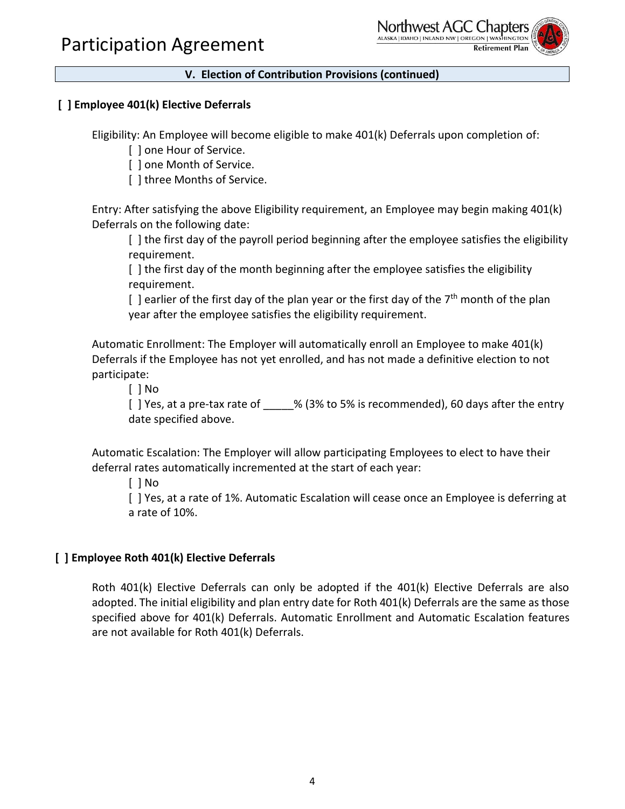

### **[ ] Employee 401(k) Elective Deferrals**

Eligibility: An Employee will become eligible to make 401(k) Deferrals upon completion of:

[ ] one Hour of Service.

[ ] one Month of Service.

[] three Months of Service.

Entry: After satisfying the above Eligibility requirement, an Employee may begin making 401(k) Deferrals on the following date:

[ ] the first day of the payroll period beginning after the employee satisfies the eligibility requirement.

[ ] the first day of the month beginning after the employee satisfies the eligibility requirement.

 $\lceil$  ] earlier of the first day of the plan year or the first day of the 7<sup>th</sup> month of the plan year after the employee satisfies the eligibility requirement.

Automatic Enrollment: The Employer will automatically enroll an Employee to make 401(k) Deferrals if the Employee has not yet enrolled, and has not made a definitive election to not participate:

[ ] No

[] Yes, at a pre-tax rate of \_\_\_\_\_% (3% to 5% is recommended), 60 days after the entry date specified above.

Automatic Escalation: The Employer will allow participating Employees to elect to have their deferral rates automatically incremented at the start of each year:

[ ] No

[ ] Yes, at a rate of 1%. Automatic Escalation will cease once an Employee is deferring at a rate of 10%.

#### **[ ] Employee Roth 401(k) Elective Deferrals**

Roth 401(k) Elective Deferrals can only be adopted if the 401(k) Elective Deferrals are also adopted. The initial eligibility and plan entry date for Roth 401(k) Deferrals are the same as those specified above for 401(k) Deferrals. Automatic Enrollment and Automatic Escalation features are not available for Roth 401(k) Deferrals.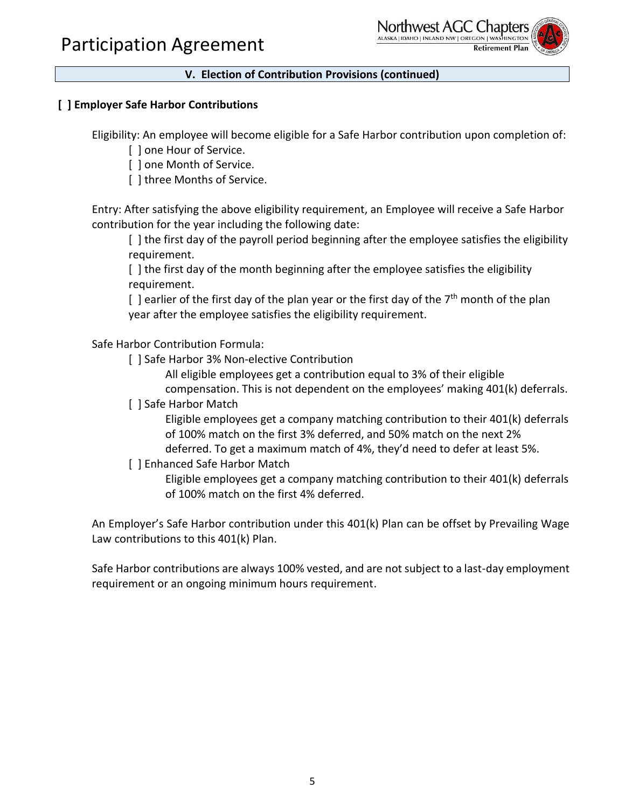

#### **[ ] Employer Safe Harbor Contributions**

Eligibility: An employee will become eligible for a Safe Harbor contribution upon completion of:

[ ] one Hour of Service.

[ ] one Month of Service.

[ ] three Months of Service.

Entry: After satisfying the above eligibility requirement, an Employee will receive a Safe Harbor contribution for the year including the following date:

[ ] the first day of the payroll period beginning after the employee satisfies the eligibility requirement.

[ ] the first day of the month beginning after the employee satisfies the eligibility requirement.

 $\lceil$  ] earlier of the first day of the plan year or the first day of the 7<sup>th</sup> month of the plan year after the employee satisfies the eligibility requirement.

Safe Harbor Contribution Formula:

[] Safe Harbor 3% Non-elective Contribution

All eligible employees get a contribution equal to 3% of their eligible compensation. This is not dependent on the employees' making 401(k) deferrals.

[ ] Safe Harbor Match

Eligible employees get a company matching contribution to their 401(k) deferrals of 100% match on the first 3% deferred, and 50% match on the next 2% deferred. To get a maximum match of 4%, they'd need to defer at least 5%.

[] Enhanced Safe Harbor Match

Eligible employees get a company matching contribution to their 401(k) deferrals of 100% match on the first 4% deferred.

An Employer's Safe Harbor contribution under this 401(k) Plan can be offset by Prevailing Wage Law contributions to this 401(k) Plan.

Safe Harbor contributions are always 100% vested, and are not subject to a last-day employment requirement or an ongoing minimum hours requirement.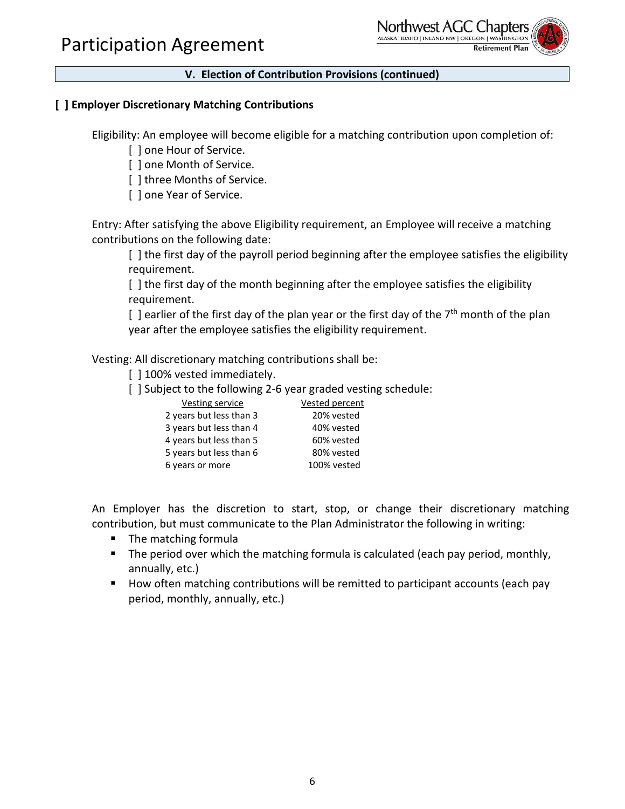

#### **[ ] Employer Discretionary Matching Contributions**

Eligibility: An employee will become eligible for a matching contribution upon completion of:

[ ] one Hour of Service.

[ ] one Month of Service.

[ ] three Months of Service.

[] one Year of Service.

Entry: After satisfying the above Eligibility requirement, an Employee will receive a matching contributions on the following date:

[ ] the first day of the payroll period beginning after the employee satisfies the eligibility requirement.

[ ] the first day of the month beginning after the employee satisfies the eligibility requirement.

 $\lceil$  ] earlier of the first day of the plan year or the first day of the  $7<sup>th</sup>$  month of the plan year after the employee satisfies the eligibility requirement.

Vesting: All discretionary matching contributions shall be:

[] 100% vested immediately.

[] Subject to the following 2-6 year graded vesting schedule:

| <b>Vested percent</b> |
|-----------------------|
| 20% vested            |
| 40% vested            |
| 60% vested            |
| 80% vested            |
| 100% vested           |
|                       |

An Employer has the discretion to start, stop, or change their discretionary matching contribution, but must communicate to the Plan Administrator the following in writing:

- The matching formula
- The period over which the matching formula is calculated (each pay period, monthly, annually, etc.)
- How often matching contributions will be remitted to participant accounts (each pay period, monthly, annually, etc.)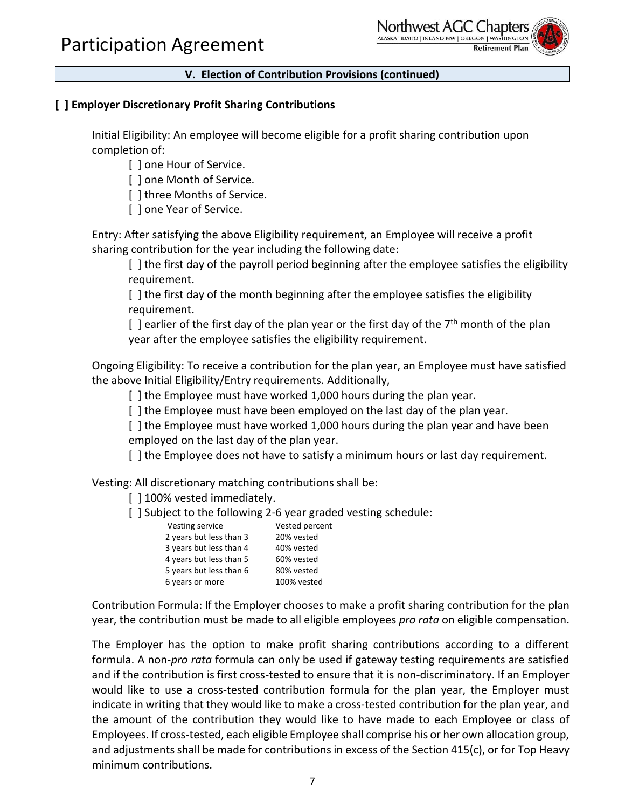

#### **[ ] Employer Discretionary Profit Sharing Contributions**

Initial Eligibility: An employee will become eligible for a profit sharing contribution upon completion of:

[ ] one Hour of Service.

[] one Month of Service.

[ ] three Months of Service.

[ ] one Year of Service.

Entry: After satisfying the above Eligibility requirement, an Employee will receive a profit sharing contribution for the year including the following date:

[ ] the first day of the payroll period beginning after the employee satisfies the eligibility requirement.

[ ] the first day of the month beginning after the employee satisfies the eligibility requirement.

[ ] earlier of the first day of the plan year or the first day of the  $7<sup>th</sup>$  month of the plan year after the employee satisfies the eligibility requirement.

Ongoing Eligibility: To receive a contribution for the plan year, an Employee must have satisfied the above Initial Eligibility/Entry requirements. Additionally,

[ ] the Employee must have worked 1,000 hours during the plan year.

[] the Employee must have been employed on the last day of the plan year.

[ ] the Employee must have worked 1,000 hours during the plan year and have been employed on the last day of the plan year.

[ ] the Employee does not have to satisfy a minimum hours or last day requirement.

Vesting: All discretionary matching contributions shall be:

[] 100% vested immediately.

[] Subject to the following 2-6 year graded vesting schedule:

| Vesting service         | Vested percent |
|-------------------------|----------------|
| 2 years but less than 3 | 20% vested     |
| 3 years but less than 4 | 40% vested     |
| 4 years but less than 5 | 60% vested     |
| 5 years but less than 6 | 80% vested     |
| 6 years or more         | 100% vested    |
|                         |                |

Contribution Formula: If the Employer chooses to make a profit sharing contribution for the plan year, the contribution must be made to all eligible employees *pro rata* on eligible compensation.

The Employer has the option to make profit sharing contributions according to a different formula. A non-*pro rata* formula can only be used if gateway testing requirements are satisfied and if the contribution is first cross-tested to ensure that it is non-discriminatory. If an Employer would like to use a cross-tested contribution formula for the plan year, the Employer must indicate in writing that they would like to make a cross-tested contribution for the plan year, and the amount of the contribution they would like to have made to each Employee or class of Employees. If cross-tested, each eligible Employee shall comprise his or her own allocation group, and adjustments shall be made for contributions in excess of the Section 415(c), or for Top Heavy minimum contributions.